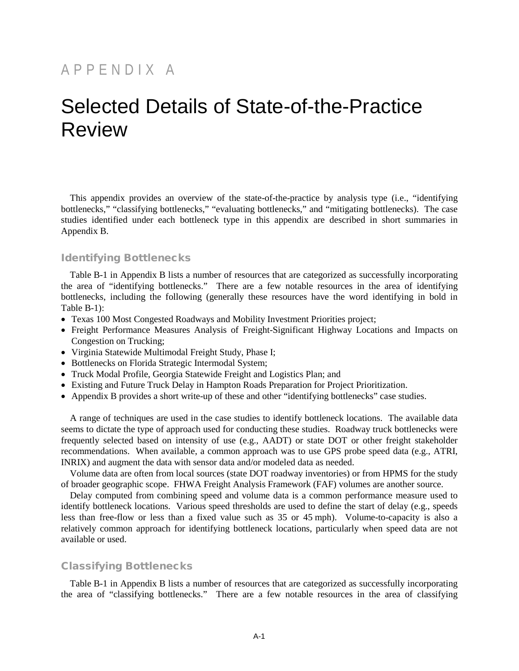# APPENDIX A

# Selected Details of State-of-the-Practice Review

This appendix provides an overview of the state-of-the-practice by analysis type (i.e., "identifying bottlenecks," "classifying bottlenecks," "evaluating bottlenecks," and "mitigating bottlenecks). The case studies identified under each bottleneck type in this appendix are described in short summaries in Appendix B.

# Identifying Bottlenecks

Table B-1 in Appendix B lists a number of resources that are categorized as successfully incorporating the area of "identifying bottlenecks." There are a few notable resources in the area of identifying bottlenecks, including the following (generally these resources have the word identifying in bold in Table B-1):

- Texas 100 Most Congested Roadways and Mobility Investment Priorities project;
- Freight Performance Measures Analysis of Freight-Significant Highway Locations and Impacts on Congestion on Trucking;
- Virginia Statewide Multimodal Freight Study, Phase I;
- Bottlenecks on Florida Strategic Intermodal System;
- Truck Modal Profile, Georgia Statewide Freight and Logistics Plan; and
- Existing and Future Truck Delay in Hampton Roads Preparation for Project Prioritization.
- Appendix B provides a short write-up of these and other "identifying bottlenecks" case studies.

A range of techniques are used in the case studies to identify bottleneck locations. The available data seems to dictate the type of approach used for conducting these studies. Roadway truck bottlenecks were frequently selected based on intensity of use (e.g., AADT) or state DOT or other freight stakeholder recommendations. When available, a common approach was to use GPS probe speed data (e.g., ATRI, INRIX) and augment the data with sensor data and/or modeled data as needed.

Volume data are often from local sources (state DOT roadway inventories) or from HPMS for the study of broader geographic scope. FHWA Freight Analysis Framework (FAF) volumes are another source.

Delay computed from combining speed and volume data is a common performance measure used to identify bottleneck locations. Various speed thresholds are used to define the start of delay (e.g., speeds less than free-flow or less than a fixed value such as 35 or 45 mph). Volume-to-capacity is also a relatively common approach for identifying bottleneck locations, particularly when speed data are not available or used.

#### Classifying Bottlenecks

Table B-1 in Appendix B lists a number of resources that are categorized as successfully incorporating the area of "classifying bottlenecks." There are a few notable resources in the area of classifying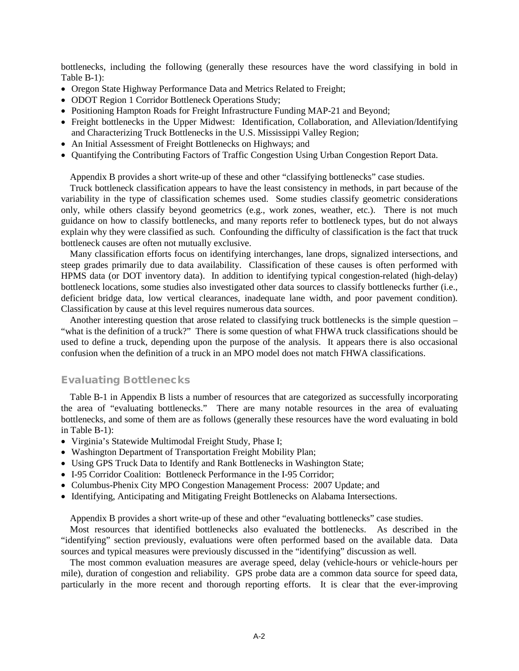bottlenecks, including the following (generally these resources have the word classifying in bold in Table B-1):

- Oregon State Highway Performance Data and Metrics Related to Freight;
- ODOT Region 1 Corridor Bottleneck Operations Study;
- Positioning Hampton Roads for Freight Infrastructure Funding MAP-21 and Beyond;
- Freight bottlenecks in the Upper Midwest: Identification, Collaboration, and Alleviation/Identifying and Characterizing Truck Bottlenecks in the U.S. Mississippi Valley Region;
- An Initial Assessment of Freight Bottlenecks on Highways; and
- Quantifying the Contributing Factors of Traffic Congestion Using Urban Congestion Report Data.

Appendix B provides a short write-up of these and other "classifying bottlenecks" case studies.

Truck bottleneck classification appears to have the least consistency in methods, in part because of the variability in the type of classification schemes used. Some studies classify geometric considerations only, while others classify beyond geometrics (e.g., work zones, weather, etc.). There is not much guidance on how to classify bottlenecks, and many reports refer to bottleneck types, but do not always explain why they were classified as such. Confounding the difficulty of classification is the fact that truck bottleneck causes are often not mutually exclusive.

Many classification efforts focus on identifying interchanges, lane drops, signalized intersections, and steep grades primarily due to data availability. Classification of these causes is often performed with HPMS data (or DOT inventory data). In addition to identifying typical congestion-related (high-delay) bottleneck locations, some studies also investigated other data sources to classify bottlenecks further (i.e., deficient bridge data, low vertical clearances, inadequate lane width, and poor pavement condition). Classification by cause at this level requires numerous data sources.

Another interesting question that arose related to classifying truck bottlenecks is the simple question – "what is the definition of a truck?" There is some question of what FHWA truck classifications should be used to define a truck, depending upon the purpose of the analysis. It appears there is also occasional confusion when the definition of a truck in an MPO model does not match FHWA classifications.

# Evaluating Bottlenecks

Table B-1 in Appendix B lists a number of resources that are categorized as successfully incorporating the area of "evaluating bottlenecks." There are many notable resources in the area of evaluating bottlenecks, and some of them are as follows (generally these resources have the word evaluating in bold in Table B-1):

- Virginia's Statewide Multimodal Freight Study, Phase I;
- Washington Department of Transportation Freight Mobility Plan;
- Using GPS Truck Data to Identify and Rank Bottlenecks in Washington State;
- I-95 Corridor Coalition: Bottleneck Performance in the I-95 Corridor;
- Columbus-Phenix City MPO Congestion Management Process: 2007 Update; and
- Identifying, Anticipating and Mitigating Freight Bottlenecks on Alabama Intersections.

Appendix B provides a short write-up of these and other "evaluating bottlenecks" case studies.

Most resources that identified bottlenecks also evaluated the bottlenecks. As described in the "identifying" section previously, evaluations were often performed based on the available data. Data sources and typical measures were previously discussed in the "identifying" discussion as well.

The most common evaluation measures are average speed, delay (vehicle-hours or vehicle-hours per mile), duration of congestion and reliability. GPS probe data are a common data source for speed data, particularly in the more recent and thorough reporting efforts. It is clear that the ever-improving